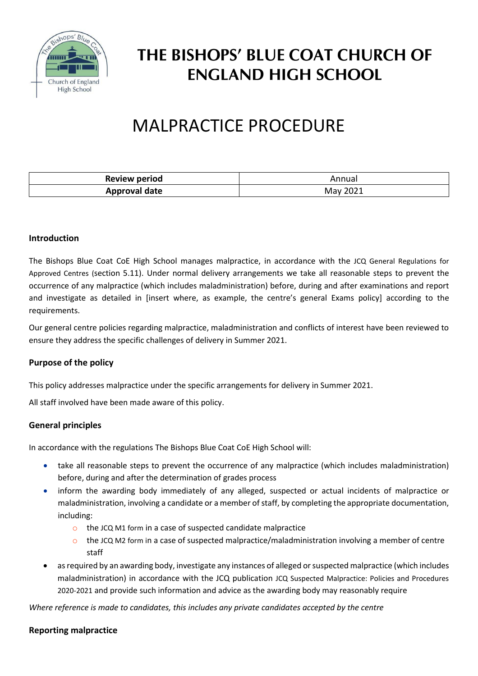

# THE BISHOPS' BLUE COAT CHURCH OF **ENGLAND HIGH SCHOOL**

# MALPRACTICE PROCEDURE

| Review period | Annual   |
|---------------|----------|
| Approval date | May 2021 |

### **Introduction**

The Bishops Blue Coat CoE High School manages malpractice, in accordance with the JCQ [General Regulations for](https://www.jcq.org.uk/exams-office/general-regulations/)  [Approved Centres](https://www.jcq.org.uk/exams-office/general-regulations/) (section 5.11). Under normal delivery arrangements we take all reasonable steps to prevent the occurrence of any malpractice (which includes maladministration) before, during and after examinations and report and investigate as detailed in [insert where, as example, the centre's general Exams policy] according to the requirements.

Our general centre policies regarding malpractice, maladministration and conflicts of interest have been reviewed to ensure they address the specific challenges of delivery in Summer 2021.

#### **Purpose of the policy**

This policy addresses malpractice under the specific arrangements for delivery in Summer 2021.

All staff involved have been made aware of this policy.

#### **General principles**

In accordance with the regulations The Bishops Blue Coat CoE High School will:

- take all reasonable steps to prevent the occurrence of any malpractice (which includes maladministration) before, during and after the determination of grades process
- inform the awarding body immediately of any alleged, suspected or actual incidents of malpractice or maladministration, involving a candidate or a member of staff, by completing the appropriate documentation, including:
	- o the [JCQ M1 form](https://www.jcq.org.uk/exams-office/malpractice/) in a case of suspected candidate malpractice
	- $\circ$  the [JCQ M2 form](https://www.jcq.org.uk/exams-office/malpractice/) in a case of suspected malpractice/maladministration involving a member of centre staff
- as required by an awarding body, investigate any instances of alleged or suspected malpractice (which includes maladministration) in accordance with the JCQ publication [JCQ Suspected Malpractice: Policies and Procedures](https://www.jcq.org.uk/exams-office/malpractice/)  [2020-2021](https://www.jcq.org.uk/exams-office/malpractice/) and provide such information and advice as the awarding body may reasonably require

*Where reference is made to candidates, this includes any private candidates accepted by the centre*

#### **Reporting malpractice**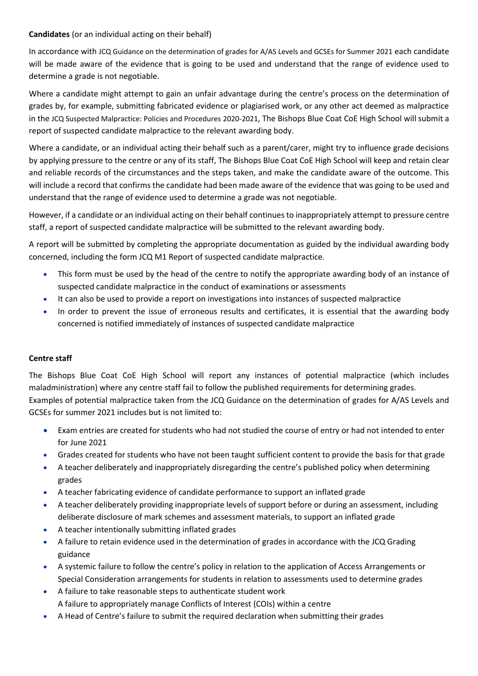## **Candidates** (or an individual acting on their behalf)

In accordance with [JCQ Guidance on the determination of grades for A/AS Levels and GCSEs for Summer 2021](https://www.jcq.org.uk/summer-2021-arrangements/) each candidate will be made aware of the evidence that is going to be used and understand that the range of evidence used to determine a grade is not negotiable.

Where a candidate might attempt to gain an unfair advantage during the centre's process on the determination of grades by, for example, submitting fabricated evidence or plagiarised work, or any other act deemed as malpractice in the [JCQ Suspected Malpractice: Policies and Procedures](https://www.jcq.org.uk/exams-office/malpractice/) 2020-2021, The Bishops Blue Coat CoE High School will submit a report of suspected candidate malpractice to the relevant awarding body.

Where a candidate, or an individual acting their behalf such as a parent/carer, might try to influence grade decisions by applying pressure to the centre or any of its staff, The Bishops Blue Coat CoE High School will keep and retain clear and reliable records of the circumstances and the steps taken, and make the candidate aware of the outcome. This will include a record that confirms the candidate had been made aware of the evidence that was going to be used and understand that the range of evidence used to determine a grade was not negotiable.

However, if a candidate or an individual acting on their behalf continues to inappropriately attempt to pressure centre staff, a report of suspected candidate malpractice will be submitted to the relevant awarding body.

A report will be submitted by completing the appropriate documentation as guided by the individual awarding body concerned, including the form [JCQ M1 Report of suspected candidate malpractice](https://www.jcq.org.uk/exams-office/malpractice/).

- This form must be used by the head of the centre to notify the appropriate awarding body of an instance of suspected candidate malpractice in the conduct of examinations or assessments
- It can also be used to provide a report on investigations into instances of suspected malpractice
- In order to prevent the issue of erroneous results and certificates, it is essential that the awarding body concerned is notified immediately of instances of suspected candidate malpractice

# **Centre staff**

The Bishops Blue Coat CoE High School will report any instances of potential malpractice (which includes maladministration) where any centre staff fail to follow the published requirements for determining grades. Examples of potential malpractice taken from the [JCQ Guidance on the determination of grades for A/AS Levels and](https://www.jcq.org.uk/summer-2021-arrangements/)  [GCSEs for summer](https://www.jcq.org.uk/summer-2021-arrangements/) 2021 includes but is not limited to:

- Exam entries are created for students who had not studied the course of entry or had not intended to enter for June 2021
- Grades created for students who have not been taught sufficient content to provide the basis for that grade
- A teacher deliberately and inappropriately disregarding the centre's published policy when determining grades
- A teacher fabricating evidence of candidate performance to support an inflated grade
- A teacher deliberately providing inappropriate levels of support before or during an assessment, including deliberate disclosure of mark schemes and assessment materials, to support an inflated grade
- A teacher intentionally submitting inflated grades
- A failure to retain evidence used in the determination of grades in accordance with the JCQ Grading guidance
- A systemic failure to follow the centre's policy in relation to the application of Access Arrangements or Special Consideration arrangements for students in relation to assessments used to determine grades
- A failure to take reasonable steps to authenticate student work A failure to appropriately manage Conflicts of Interest (COIs) within a centre
- A Head of Centre's failure to submit the required declaration when submitting their grades